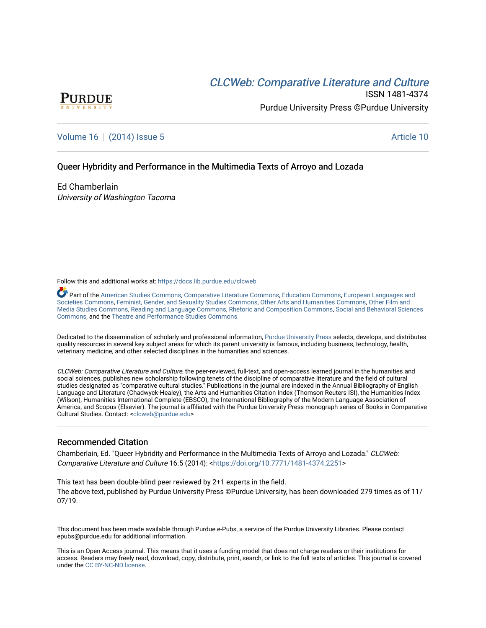# **CLCW[eb: Comparative Liter](https://docs.lib.purdue.edu/clcweb)ature and Culture**



ISSN 1481-4374 Purdue University Press ©Purdue University

### [Volume 16](https://docs.lib.purdue.edu/clcweb/vol16) | [\(2014\) Issue 5](https://docs.lib.purdue.edu/clcweb/vol16/iss5) Article 10

### Queer Hybridity and Performance in the Multimedia Texts of Arroyo and Lozada

Ed Chamberlain University of Washington Tacoma

Follow this and additional works at: [https://docs.lib.purdue.edu/clcweb](https://docs.lib.purdue.edu/clcweb?utm_source=docs.lib.purdue.edu%2Fclcweb%2Fvol16%2Fiss5%2F10&utm_medium=PDF&utm_campaign=PDFCoverPages)

Part of the [American Studies Commons](http://network.bepress.com/hgg/discipline/439?utm_source=docs.lib.purdue.edu%2Fclcweb%2Fvol16%2Fiss5%2F10&utm_medium=PDF&utm_campaign=PDFCoverPages), [Comparative Literature Commons,](http://network.bepress.com/hgg/discipline/454?utm_source=docs.lib.purdue.edu%2Fclcweb%2Fvol16%2Fiss5%2F10&utm_medium=PDF&utm_campaign=PDFCoverPages) [Education Commons,](http://network.bepress.com/hgg/discipline/784?utm_source=docs.lib.purdue.edu%2Fclcweb%2Fvol16%2Fiss5%2F10&utm_medium=PDF&utm_campaign=PDFCoverPages) [European Languages and](http://network.bepress.com/hgg/discipline/482?utm_source=docs.lib.purdue.edu%2Fclcweb%2Fvol16%2Fiss5%2F10&utm_medium=PDF&utm_campaign=PDFCoverPages) [Societies Commons](http://network.bepress.com/hgg/discipline/482?utm_source=docs.lib.purdue.edu%2Fclcweb%2Fvol16%2Fiss5%2F10&utm_medium=PDF&utm_campaign=PDFCoverPages), [Feminist, Gender, and Sexuality Studies Commons,](http://network.bepress.com/hgg/discipline/559?utm_source=docs.lib.purdue.edu%2Fclcweb%2Fvol16%2Fiss5%2F10&utm_medium=PDF&utm_campaign=PDFCoverPages) [Other Arts and Humanities Commons](http://network.bepress.com/hgg/discipline/577?utm_source=docs.lib.purdue.edu%2Fclcweb%2Fvol16%2Fiss5%2F10&utm_medium=PDF&utm_campaign=PDFCoverPages), [Other Film and](http://network.bepress.com/hgg/discipline/565?utm_source=docs.lib.purdue.edu%2Fclcweb%2Fvol16%2Fiss5%2F10&utm_medium=PDF&utm_campaign=PDFCoverPages)  [Media Studies Commons](http://network.bepress.com/hgg/discipline/565?utm_source=docs.lib.purdue.edu%2Fclcweb%2Fvol16%2Fiss5%2F10&utm_medium=PDF&utm_campaign=PDFCoverPages), [Reading and Language Commons](http://network.bepress.com/hgg/discipline/1037?utm_source=docs.lib.purdue.edu%2Fclcweb%2Fvol16%2Fiss5%2F10&utm_medium=PDF&utm_campaign=PDFCoverPages), [Rhetoric and Composition Commons,](http://network.bepress.com/hgg/discipline/573?utm_source=docs.lib.purdue.edu%2Fclcweb%2Fvol16%2Fiss5%2F10&utm_medium=PDF&utm_campaign=PDFCoverPages) [Social and Behavioral Sciences](http://network.bepress.com/hgg/discipline/316?utm_source=docs.lib.purdue.edu%2Fclcweb%2Fvol16%2Fiss5%2F10&utm_medium=PDF&utm_campaign=PDFCoverPages) [Commons,](http://network.bepress.com/hgg/discipline/316?utm_source=docs.lib.purdue.edu%2Fclcweb%2Fvol16%2Fiss5%2F10&utm_medium=PDF&utm_campaign=PDFCoverPages) and the [Theatre and Performance Studies Commons](http://network.bepress.com/hgg/discipline/552?utm_source=docs.lib.purdue.edu%2Fclcweb%2Fvol16%2Fiss5%2F10&utm_medium=PDF&utm_campaign=PDFCoverPages)

Dedicated to the dissemination of scholarly and professional information, [Purdue University Press](http://www.thepress.purdue.edu/) selects, develops, and distributes quality resources in several key subject areas for which its parent university is famous, including business, technology, health, veterinary medicine, and other selected disciplines in the humanities and sciences.

CLCWeb: Comparative Literature and Culture, the peer-reviewed, full-text, and open-access learned journal in the humanities and social sciences, publishes new scholarship following tenets of the discipline of comparative literature and the field of cultural studies designated as "comparative cultural studies." Publications in the journal are indexed in the Annual Bibliography of English Language and Literature (Chadwyck-Healey), the Arts and Humanities Citation Index (Thomson Reuters ISI), the Humanities Index (Wilson), Humanities International Complete (EBSCO), the International Bibliography of the Modern Language Association of America, and Scopus (Elsevier). The journal is affiliated with the Purdue University Press monograph series of Books in Comparative Cultural Studies. Contact: [<clcweb@purdue.edu](mailto:clcweb@purdue.edu)>

### Recommended Citation

Chamberlain, Ed. "Queer Hybridity and Performance in the Multimedia Texts of Arroyo and Lozada." CLCWeb: Comparative Literature and Culture 16.5 (2014): <<https://doi.org/10.7771/1481-4374.2251>>

This text has been double-blind peer reviewed by 2+1 experts in the field. The above text, published by Purdue University Press ©Purdue University, has been downloaded 279 times as of 11/ 07/19.

This document has been made available through Purdue e-Pubs, a service of the Purdue University Libraries. Please contact epubs@purdue.edu for additional information.

This is an Open Access journal. This means that it uses a funding model that does not charge readers or their institutions for access. Readers may freely read, download, copy, distribute, print, search, or link to the full texts of articles. This journal is covered under the [CC BY-NC-ND license.](https://creativecommons.org/licenses/by-nc-nd/4.0/)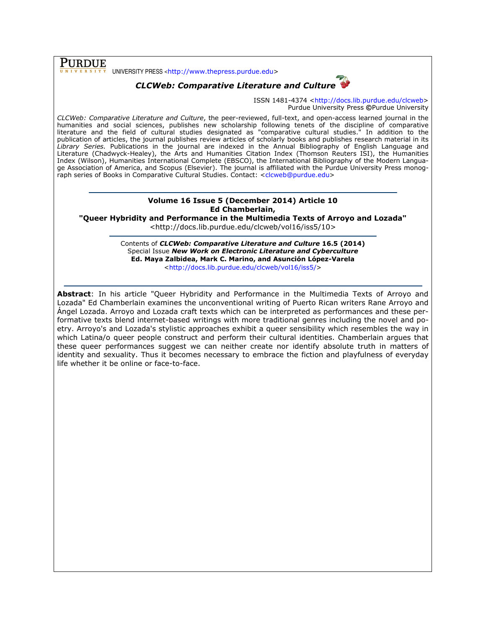**PURDUE** UNIVERSITY PRESS <http://www.thepress.purdue.edu>

## CLCWeb: Comparative Literature and Culture



ISSN 1481-4374 <http://docs.lib.purdue.edu/clcweb> Purdue University Press ©Purdue University

CLCWeb: Comparative Literature and Culture, the peer-reviewed, full-text, and open-access learned journal in the humanities and social sciences, publishes new scholarship following tenets of the discipline of comparative literature and the field of cultural studies designated as "comparative cultural studies." In addition to the publication of articles, the journal publishes review articles of scholarly books and publishes research material in its Library Series. Publications in the journal are indexed in the Annual Bibliography of English Language and Literature (Chadwyck-Healey), the Arts and Humanities Citation Index (Thomson Reuters ISI), the Humanities Index (Wilson), Humanities International Complete (EBSCO), the International Bibliography of the Modern Language Association of America, and Scopus (Elsevier). The journal is affiliated with the Purdue University Press monograph series of Books in Comparative Cultural Studies. Contact: <clcweb@purdue.edu>

### Volume 16 Issue 5 (December 2014) Article 10 Ed Chamberlain,

"Queer Hybridity and Performance in the Multimedia Texts of Arroyo and Lozada"

<http://docs.lib.purdue.edu/clcweb/vol16/iss5/10>

Contents of CLCWeb: Comparative Literature and Culture 16.5 (2014) Special Issue New Work on Electronic Literature and Cyberculture Ed. Maya Zalbidea, Mark C. Marino, and Asunción López-Varela <http://docs.lib.purdue.edu/clcweb/vol16/iss5/>

Abstract: In his article "Queer Hybridity and Performance in the Multimedia Texts of Arroyo and Lozada" Ed Chamberlain examines the unconventional writing of Puerto Rican writers Rane Arroyo and Ángel Lozada. Arroyo and Lozada craft texts which can be interpreted as performances and these performative texts blend internet-based writings with more traditional genres including the novel and poetry. Arroyo's and Lozada's stylistic approaches exhibit a queer sensibility which resembles the way in which Latina/o queer people construct and perform their cultural identities. Chamberlain argues that these queer performances suggest we can neither create nor identify absolute truth in matters of identity and sexuality. Thus it becomes necessary to embrace the fiction and playfulness of everyday life whether it be online or face-to-face.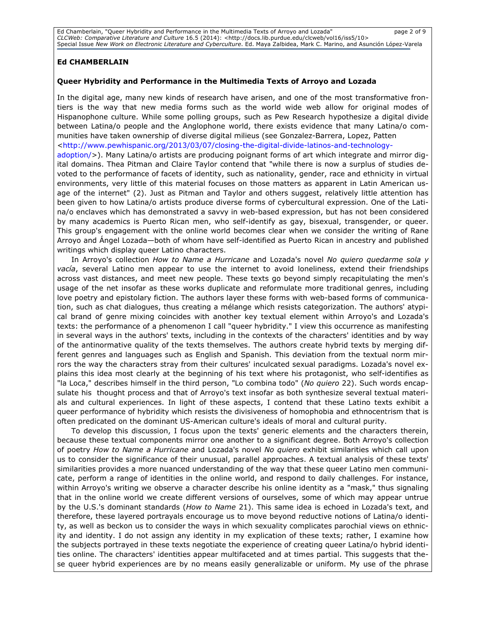Ed Chamberlain, "Queer Hybridity and Performance in the Multimedia Texts of Arroyo and Lozada" page 2 of 9 CLCWeb: Comparative Literature and Culture 16.5 (2014): <http://docs.lib.purdue.edu/clcweb/vol16/iss5/10> Special Issue New Work on Electronic Literature and Cyberculture. Ed. Maya Zalbidea, Mark C. Marino, and Asunción López-Varela

### Ed CHAMBERLAIN

#### Queer Hybridity and Performance in the Multimedia Texts of Arroyo and Lozada

In the digital age, many new kinds of research have arisen, and one of the most transformative frontiers is the way that new media forms such as the world wide web allow for original modes of Hispanophone culture. While some polling groups, such as Pew Research hypothesize a digital divide between Latina/o people and the Anglophone world, there exists evidence that many Latina/o communities have taken ownership of diverse digital milieus (see Gonzalez-Barrera, Lopez, Patten <http://www.pewhispanic.org/2013/03/07/closing-the-digital-divide-latinos-and-technologyadoption/>). Many Latina/o artists are producing poignant forms of art which integrate and mirror digital domains. Thea Pitman and Claire Taylor contend that "while there is now a surplus of studies devoted to the performance of facets of identity, such as nationality, gender, race and ethnicity in virtual environments, very little of this material focuses on those matters as apparent in Latin American usage of the internet" (2). Just as Pitman and Taylor and others suggest, relatively little attention has been given to how Latina/o artists produce diverse forms of cybercultural expression. One of the Latina/o enclaves which has demonstrated a savvy in web-based expression, but has not been considered by many academics is Puerto Rican men, who self-identify as gay, bisexual, transgender, or queer. This group's engagement with the online world becomes clear when we consider the writing of Rane Arroyo and Ángel Lozada—both of whom have self-identified as Puerto Rican in ancestry and published writings which display queer Latino characters.

In Arroyo's collection How to Name a Hurricane and Lozada's novel No quiero quedarme sola y vacía, several Latino men appear to use the internet to avoid loneliness, extend their friendships across vast distances, and meet new people. These texts go beyond simply recapitulating the men's usage of the net insofar as these works duplicate and reformulate more traditional genres, including love poetry and epistolary fiction. The authors layer these forms with web-based forms of communication, such as chat dialogues, thus creating a mélange which resists categorization. The authors' atypical brand of genre mixing coincides with another key textual element within Arroyo's and Lozada's texts: the performance of a phenomenon I call "queer hybridity." I view this occurrence as manifesting in several ways in the authors' texts, including in the contexts of the characters' identities and by way of the antinormative quality of the texts themselves. The authors create hybrid texts by merging different genres and languages such as English and Spanish. This deviation from the textual norm mirrors the way the characters stray from their cultures' inculcated sexual paradigms. Lozada's novel explains this idea most clearly at the beginning of his text where his protagonist, who self-identifies as "la Loca," describes himself in the third person, "Lo combina todo" (No quiero 22). Such words encapsulate his thought process and that of Arroyo's text insofar as both synthesize several textual materials and cultural experiences. In light of these aspects, I contend that these Latino texts exhibit a queer performance of hybridity which resists the divisiveness of homophobia and ethnocentrism that is often predicated on the dominant US-American culture's ideals of moral and cultural purity.

To develop this discussion, I focus upon the texts' generic elements and the characters therein, because these textual components mirror one another to a significant degree. Both Arroyo's collection of poetry How to Name a Hurricane and Lozada's novel No quiero exhibit similarities which call upon us to consider the significance of their unusual, parallel approaches. A textual analysis of these texts' similarities provides a more nuanced understanding of the way that these queer Latino men communicate, perform a range of identities in the online world, and respond to daily challenges. For instance, within Arroyo's writing we observe a character describe his online identity as a "mask," thus signaling that in the online world we create different versions of ourselves, some of which may appear untrue by the U.S.'s dominant standards (How to Name 21). This same idea is echoed in Lozada's text, and therefore, these layered portrayals encourage us to move beyond reductive notions of Latina/o identity, as well as beckon us to consider the ways in which sexuality complicates parochial views on ethnicity and identity. I do not assign any identity in my explication of these texts; rather, I examine how the subjects portrayed in these texts negotiate the experience of creating queer Latina/o hybrid identities online. The characters' identities appear multifaceted and at times partial. This suggests that these queer hybrid experiences are by no means easily generalizable or uniform. My use of the phrase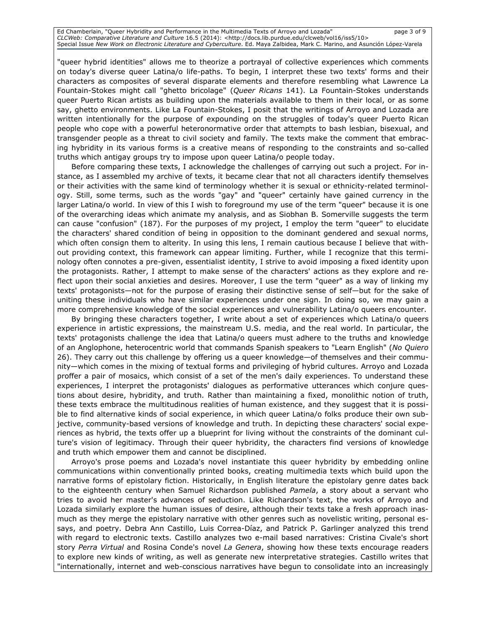Ed Chamberlain, "Queer Hybridity and Performance in the Multimedia Texts of Arroyo and Lozada" page 3 of 9 CLCWeb: Comparative Literature and Culture 16.5 (2014): <http://docs.lib.purdue.edu/clcweb/vol16/iss5/10> Special Issue New Work on Electronic Literature and Cyberculture. Ed. Maya Zalbidea, Mark C. Marino, and Asunción López-Varela

"queer hybrid identities" allows me to theorize a portrayal of collective experiences which comments on today's diverse queer Latina/o life-paths. To begin, I interpret these two texts' forms and their characters as composites of several disparate elements and therefore resembling what Lawrence La Fountain-Stokes might call "ghetto bricolage" (Queer Ricans 141). La Fountain-Stokes understands queer Puerto Rican artists as building upon the materials available to them in their local, or as some say, ghetto environments. Like La Fountain-Stokes, I posit that the writings of Arroyo and Lozada are written intentionally for the purpose of expounding on the struggles of today's queer Puerto Rican people who cope with a powerful heteronormative order that attempts to bash lesbian, bisexual, and transgender people as a threat to civil society and family. The texts make the comment that embracing hybridity in its various forms is a creative means of responding to the constraints and so-called truths which antigay groups try to impose upon queer Latina/o people today.

Before comparing these texts, I acknowledge the challenges of carrying out such a project. For instance, as I assembled my archive of texts, it became clear that not all characters identify themselves or their activities with the same kind of terminology whether it is sexual or ethnicity-related terminology. Still, some terms, such as the words "gay" and "queer" certainly have gained currency in the larger Latina/o world. In view of this I wish to foreground my use of the term "queer" because it is one of the overarching ideas which animate my analysis, and as Siobhan B. Somerville suggests the term can cause "confusion" (187). For the purposes of my project, I employ the term "queer" to elucidate the characters' shared condition of being in opposition to the dominant gendered and sexual norms, which often consign them to alterity. In using this lens, I remain cautious because I believe that without providing context, this framework can appear limiting. Further, while I recognize that this terminology often connotes a pre-given, essentialist identity, I strive to avoid imposing a fixed identity upon the protagonists. Rather, I attempt to make sense of the characters' actions as they explore and reflect upon their social anxieties and desires. Moreover, I use the term "queer" as a way of linking my texts' protagonists—not for the purpose of erasing their distinctive sense of self—but for the sake of uniting these individuals who have similar experiences under one sign. In doing so, we may gain a more comprehensive knowledge of the social experiences and vulnerability Latina/o queers encounter.

By bringing these characters together, I write about a set of experiences which Latina/o queers experience in artistic expressions, the mainstream U.S. media, and the real world. In particular, the texts' protagonists challenge the idea that Latina/o queers must adhere to the truths and knowledge of an Anglophone, heterocentric world that commands Spanish speakers to "Learn English" (No Quiero 26). They carry out this challenge by offering us a queer knowledge—of themselves and their community—which comes in the mixing of textual forms and privileging of hybrid cultures. Arroyo and Lozada proffer a pair of mosaics, which consist of a set of the men's daily experiences. To understand these experiences, I interpret the protagonists' dialogues as performative utterances which conjure questions about desire, hybridity, and truth. Rather than maintaining a fixed, monolithic notion of truth, these texts embrace the multitudinous realities of human existence, and they suggest that it is possible to find alternative kinds of social experience, in which queer Latina/o folks produce their own subjective, community-based versions of knowledge and truth. In depicting these characters' social experiences as hybrid, the texts offer up a blueprint for living without the constraints of the dominant culture's vision of legitimacy. Through their queer hybridity, the characters find versions of knowledge and truth which empower them and cannot be disciplined.

Arroyo's prose poems and Lozada's novel instantiate this queer hybridity by embedding online communications within conventionally printed books, creating multimedia texts which build upon the narrative forms of epistolary fiction. Historically, in English literature the epistolary genre dates back to the eighteenth century when Samuel Richardson published Pamela, a story about a servant who tries to avoid her master's advances of seduction. Like Richardson's text, the works of Arroyo and Lozada similarly explore the human issues of desire, although their texts take a fresh approach inasmuch as they merge the epistolary narrative with other genres such as novelistic writing, personal essays, and poetry. Debra Ann Castillo, Luis Correa-Díaz, and Patrick P. Garlinger analyzed this trend with regard to electronic texts. Castillo analyzes two e-mail based narratives: Cristina Civale's short story Perra Virtual and Rosina Conde's novel La Genera, showing how these texts encourage readers to explore new kinds of writing, as well as generate new interpretative strategies. Castillo writes that "internationally, internet and web-conscious narratives have begun to consolidate into an increasingly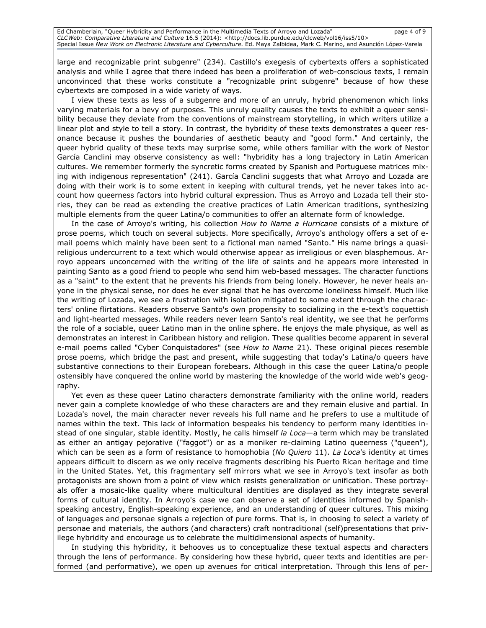large and recognizable print subgenre" (234). Castillo's exegesis of cybertexts offers a sophisticated analysis and while I agree that there indeed has been a proliferation of web-conscious texts, I remain unconvinced that these works constitute a "recognizable print subgenre" because of how these cybertexts are composed in a wide variety of ways.

I view these texts as less of a subgenre and more of an unruly, hybrid phenomenon which links varying materials for a bevy of purposes. This unruly quality causes the texts to exhibit a queer sensibility because they deviate from the conventions of mainstream storytelling, in which writers utilize a linear plot and style to tell a story. In contrast, the hybridity of these texts demonstrates a queer resonance because it pushes the boundaries of aesthetic beauty and "good form." And certainly, the queer hybrid quality of these texts may surprise some, while others familiar with the work of Nestor García Canclini may observe consistency as well: "hybridity has a long trajectory in Latin American cultures. We remember formerly the syncretic forms created by Spanish and Portuguese matrices mixing with indigenous representation" (241). García Canclini suggests that what Arroyo and Lozada are doing with their work is to some extent in keeping with cultural trends, yet he never takes into account how queerness factors into hybrid cultural expression. Thus as Arroyo and Lozada tell their stories, they can be read as extending the creative practices of Latin American traditions, synthesizing multiple elements from the queer Latina/o communities to offer an alternate form of knowledge.

In the case of Arroyo's writing, his collection How to Name a Hurricane consists of a mixture of prose poems, which touch on several subjects. More specifically, Arroyo's anthology offers a set of email poems which mainly have been sent to a fictional man named "Santo." His name brings a quasireligious undercurrent to a text which would otherwise appear as irreligious or even blasphemous. Arroyo appears unconcerned with the writing of the life of saints and he appears more interested in painting Santo as a good friend to people who send him web-based messages. The character functions as a "saint" to the extent that he prevents his friends from being lonely. However, he never heals anyone in the physical sense, nor does he ever signal that he has overcome loneliness himself. Much like the writing of Lozada, we see a frustration with isolation mitigated to some extent through the characters' online flirtations. Readers observe Santo's own propensity to socializing in the e-text's coquettish and light-hearted messages. While readers never learn Santo's real identity, we see that he performs the role of a sociable, queer Latino man in the online sphere. He enjoys the male physique, as well as demonstrates an interest in Caribbean history and religion. These qualities become apparent in several e-mail poems called "Cyber Conquistadores" (see How to Name 21). These original pieces resemble prose poems, which bridge the past and present, while suggesting that today's Latina/o queers have substantive connections to their European forebears. Although in this case the queer Latina/o people ostensibly have conquered the online world by mastering the knowledge of the world wide web's geography.

Yet even as these queer Latino characters demonstrate familiarity with the online world, readers never gain a complete knowledge of who these characters are and they remain elusive and partial. In Lozada's novel, the main character never reveals his full name and he prefers to use a multitude of names within the text. This lack of information bespeaks his tendency to perform many identities instead of one singular, stable identity. Mostly, he calls himself la Loca—a term which may be translated as either an antigay pejorative ("faggot") or as a moniker re-claiming Latino queerness ("queen"), which can be seen as a form of resistance to homophobia (No Quiero 11). La Loca's identity at times appears difficult to discern as we only receive fragments describing his Puerto Rican heritage and time in the United States. Yet, this fragmentary self mirrors what we see in Arroyo's text insofar as both protagonists are shown from a point of view which resists generalization or unification. These portrayals offer a mosaic-like quality where multicultural identities are displayed as they integrate several forms of cultural identity. In Arroyo's case we can observe a set of identities informed by Spanishspeaking ancestry, English-speaking experience, and an understanding of queer cultures. This mixing of languages and personae signals a rejection of pure forms. That is, in choosing to select a variety of personae and materials, the authors (and characters) craft nontraditional (self)presentations that privilege hybridity and encourage us to celebrate the multidimensional aspects of humanity.

In studying this hybridity, it behooves us to conceptualize these textual aspects and characters through the lens of performance. By considering how these hybrid, queer texts and identities are performed (and performative), we open up avenues for critical interpretation. Through this lens of per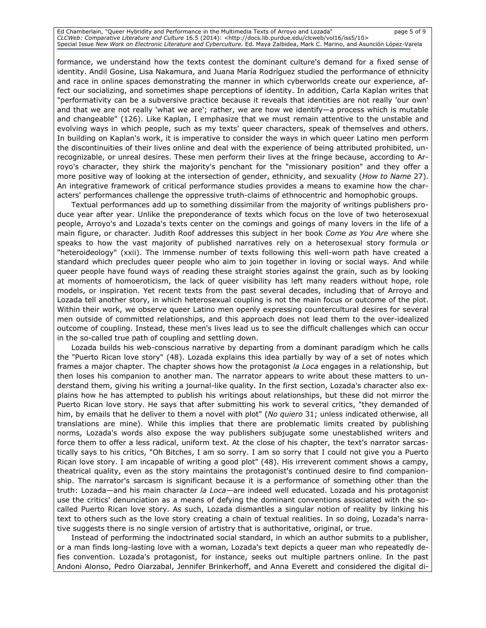Ed Chamberlain, "Queer Hybridity and Performance in the Multimedia Texts of Arroyo and Lozada" page 5 of 9 CLCWeb: Comparative Literature and Culture 16.5 (2014): <http://docs.lib.purdue.edu/clcweb/vol16/iss5/10> Special Issue New Work on Electronic Literature and Cyberculture. Ed. Maya Zalbidea, Mark C. Marino, and Asunción López-Varela

formance, we understand how the texts contest the dominant culture's demand for a fixed sense of identity. Andil Gosine, Lisa Nakamura, and Juana María Rodríguez studied the performance of ethnicity and race in online spaces demonstrating the manner in which cyberworlds create our experience, affect our socializing, and sometimes shape perceptions of identity. In addition, Carla Kaplan writes that "performativity can be a subversive practice because it reveals that identities are not really 'our own' and that we are not really 'what we are'; rather, we are how we identify—a process which is mutable and changeable" (126). Like Kaplan, I emphasize that we must remain attentive to the unstable and evolving ways in which people, such as my texts' queer characters, speak of themselves and others. In building on Kaplan's work, it is imperative to consider the ways in which queer Latino men perform the discontinuities of their lives online and deal with the experience of being attributed prohibited, unrecognizable, or unreal desires. These men perform their lives at the fringe because, according to Arroyo's character, they shirk the majority's penchant for the "missionary position" and they offer a more positive way of looking at the intersection of gender, ethnicity, and sexuality (How to Name 27). An integrative framework of critical performance studies provides a means to examine how the characters' performances challenge the oppressive truth-claims of ethnocentric and homophobic groups.

Textual performances add up to something dissimilar from the majority of writings publishers produce year after year. Unlike the preponderance of texts which focus on the love of two heterosexual people, Arroyo's and Lozada's texts center on the comings and goings of many lovers in the life of a main figure, or character. Judith Roof addresses this subject in her book Come as You Are where she speaks to how the vast majority of published narratives rely on a heterosexual story formula or "heteroideology" (xxii). The immense number of texts following this well-worn path have created a standard which precludes queer people who aim to join together in loving or social ways. And while queer people have found ways of reading these straight stories against the grain, such as by looking at moments of homoeroticism, the lack of queer visibility has left many readers without hope, role models, or inspiration. Yet recent texts from the past several decades, including that of Arroyo and Lozada tell another story, in which heterosexual coupling is not the main focus or outcome of the plot. Within their work, we observe queer Latino men openly expressing countercultural desires for several men outside of committed relationships, and this approach does not lead them to the over-idealized outcome of coupling. Instead, these men's lives lead us to see the difficult challenges which can occur in the so-called true path of coupling and settling down.

Lozada builds his web-conscious narrative by departing from a dominant paradigm which he calls the "Puerto Rican love story" (48). Lozada explains this idea partially by way of a set of notes which frames a major chapter. The chapter shows how the protagonist la Loca engages in a relationship, but then loses his companion to another man. The narrator appears to write about these matters to understand them, giving his writing a journal-like quality. In the first section, Lozada's character also explains how he has attempted to publish his writings about relationships, but these did not mirror the Puerto Rican love story. He says that after submitting his work to several critics, "they demanded of him, by emails that he deliver to them a novel with plot" (No quiero 31; unless indicated otherwise, all translations are mine). While this implies that there are problematic limits created by publishing norms, Lozada's words also expose the way publishers subjugate some unestablished writers and force them to offer a less radical, uniform text. At the close of his chapter, the text's narrator sarcastically says to his critics, "Oh Bitches, I am so sorry. I am so sorry that I could not give you a Puerto Rican love story. I am incapable of writing a good plot" (48). His irreverent comment shows a campy, theatrical quality, even as the story maintains the protagonist's continued desire to find companionship. The narrator's sarcasm is significant because it is a performance of something other than the truth: Lozada—and his main character la Loca—are indeed well educated. Lozada and his protagonist use the critics' denunciation as a means of defying the dominant conventions associated with the socalled Puerto Rican love story. As such, Lozada dismantles a singular notion of reality by linking his text to others such as the love story creating a chain of textual realities. In so doing, Lozada's narrative suggests there is no single version of artistry that is authoritative, original, or true.

Instead of performing the indoctrinated social standard, in which an author submits to a publisher, or a man finds long-lasting love with a woman, Lozada's text depicts a queer man who repeatedly defies convention. Lozada's protagonist, for instance, seeks out multiple partners online. In the past Andoni Alonso, Pedro Oiarzabal, Jennifer Brinkerhoff, and Anna Everett and considered the digital di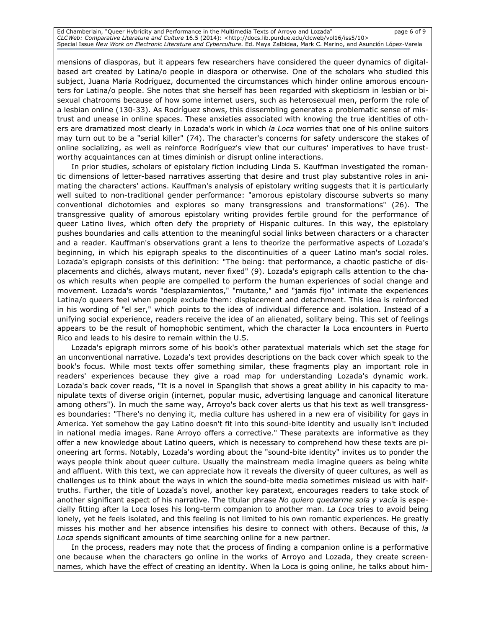Ed Chamberlain, "Queer Hybridity and Performance in the Multimedia Texts of Arroyo and Lozada" page 6 of 9 CLCWeb: Comparative Literature and Culture 16.5 (2014): <http://docs.lib.purdue.edu/clcweb/vol16/iss5/10> Special Issue New Work on Electronic Literature and Cyberculture. Ed. Maya Zalbidea, Mark C. Marino, and Asunción López-Varela

mensions of diasporas, but it appears few researchers have considered the queer dynamics of digitalbased art created by Latina/o people in diaspora or otherwise. One of the scholars who studied this subject, Juana María Rodríguez, documented the circumstances which hinder online amorous encounters for Latina/o people. She notes that she herself has been regarded with skepticism in lesbian or bisexual chatrooms because of how some internet users, such as heterosexual men, perform the role of a lesbian online (130-33). As Rodríguez shows, this dissembling generates a problematic sense of mistrust and unease in online spaces. These anxieties associated with knowing the true identities of others are dramatized most clearly in Lozada's work in which la Loca worries that one of his online suitors may turn out to be a "serial killer" (74). The character's concerns for safety underscore the stakes of online socializing, as well as reinforce Rodríguez's view that our cultures' imperatives to have trustworthy acquaintances can at times diminish or disrupt online interactions.

In prior studies, scholars of epistolary fiction including Linda S. Kauffman investigated the romantic dimensions of letter-based narratives asserting that desire and trust play substantive roles in animating the characters' actions. Kauffman's analysis of epistolary writing suggests that it is particularly well suited to non-traditional gender performance: "amorous epistolary discourse subverts so many conventional dichotomies and explores so many transgressions and transformations" (26). The transgressive quality of amorous epistolary writing provides fertile ground for the performance of queer Latino lives, which often defy the propriety of Hispanic cultures. In this way, the epistolary pushes boundaries and calls attention to the meaningful social links between characters or a character and a reader. Kauffman's observations grant a lens to theorize the performative aspects of Lozada's beginning, in which his epigraph speaks to the discontinuities of a queer Latino man's social roles. Lozada's epigraph consists of this definition: "The being: that performance, a chaotic pastiche of displacements and clichés, always mutant, never fixed" (9). Lozada's epigraph calls attention to the chaos which results when people are compelled to perform the human experiences of social change and movement. Lozada's words "desplazamientos," "mutante," and "jamás fijo" intimate the experiences Latina/o queers feel when people exclude them: displacement and detachment. This idea is reinforced in his wording of "el ser," which points to the idea of individual difference and isolation. Instead of a unifying social experience, readers receive the idea of an alienated, solitary being. This set of feelings appears to be the result of homophobic sentiment, which the character la Loca encounters in Puerto Rico and leads to his desire to remain within the U.S.

Lozada's epigraph mirrors some of his book's other paratextual materials which set the stage for an unconventional narrative. Lozada's text provides descriptions on the back cover which speak to the book's focus. While most texts offer something similar, these fragments play an important role in readers' experiences because they give a road map for understanding Lozada's dynamic work. Lozada's back cover reads, "It is a novel in Spanglish that shows a great ability in his capacity to manipulate texts of diverse origin (internet, popular music, advertising language and canonical literature among others"). In much the same way, Arroyo's back cover alerts us that his text as well transgresses boundaries: "There's no denying it, media culture has ushered in a new era of visibility for gays in America. Yet somehow the gay Latino doesn't fit into this sound-bite identity and usually isn't included in national media images. Rane Arroyo offers a corrective." These paratexts are informative as they offer a new knowledge about Latino queers, which is necessary to comprehend how these texts are pioneering art forms. Notably, Lozada's wording about the "sound-bite identity" invites us to ponder the ways people think about queer culture. Usually the mainstream media imagine queers as being white and affluent. With this text, we can appreciate how it reveals the diversity of queer cultures, as well as challenges us to think about the ways in which the sound-bite media sometimes mislead us with halftruths. Further, the title of Lozada's novel, another key paratext, encourages readers to take stock of another significant aspect of his narrative. The titular phrase No quiero quedarme sola y vacía is especially fitting after la Loca loses his long-term companion to another man. La Loca tries to avoid being lonely, yet he feels isolated, and this feeling is not limited to his own romantic experiences. He greatly misses his mother and her absence intensifies his desire to connect with others. Because of this, la Loca spends significant amounts of time searching online for a new partner.

In the process, readers may note that the process of finding a companion online is a performative one because when the characters go online in the works of Arroyo and Lozada, they create screennames, which have the effect of creating an identity. When la Loca is going online, he talks about him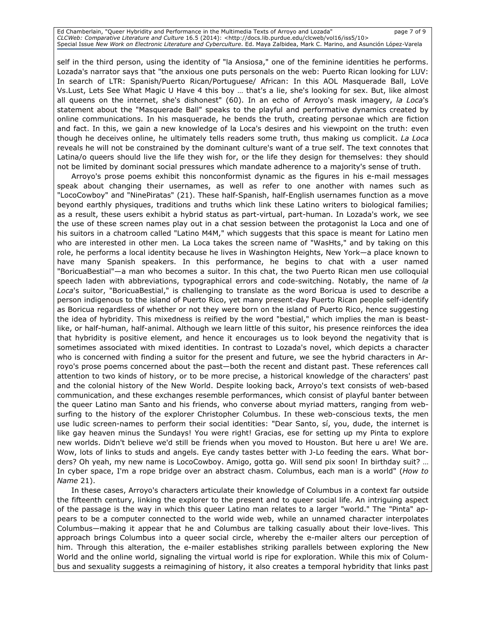Ed Chamberlain, "Queer Hybridity and Performance in the Multimedia Texts of Arroyo and Lozada" page 7 of 9 CLCWeb: Comparative Literature and Culture 16.5 (2014): <http://docs.lib.purdue.edu/clcweb/vol16/iss5/10> Special Issue New Work on Electronic Literature and Cyberculture. Ed. Maya Zalbidea, Mark C. Marino, and Asunción López-Varela

self in the third person, using the identity of "la Ansiosa," one of the feminine identities he performs. Lozada's narrator says that "the anxious one puts personals on the web: Puerto Rican looking for LUV: In search of LTR: Spanish/Puerto Rican/Portuguese/ African: In this AOL Masquerade Ball, LoVe Vs.Lust, Lets See What Magic U Have 4 this boy … that's a lie, she's looking for sex. But, like almost all queens on the internet, she's dishonest" (60). In an echo of Arroyo's mask imagery, la Loca's statement about the "Masquerade Ball" speaks to the playful and performative dynamics created by online communications. In his masquerade, he bends the truth, creating personae which are fiction and fact. In this, we gain a new knowledge of la Loca's desires and his viewpoint on the truth: even though he deceives online, he ultimately tells readers some truth, thus making us complicit. La Loca reveals he will not be constrained by the dominant culture's want of a true self. The text connotes that Latina/o queers should live the life they wish for, or the life they design for themselves: they should not be limited by dominant social pressures which mandate adherence to a majority's sense of truth.

Arroyo's prose poems exhibit this nonconformist dynamic as the figures in his e-mail messages speak about changing their usernames, as well as refer to one another with names such as "LocoCowboy" and "NinePiratas" (21). These half-Spanish, half-English usernames function as a move beyond earthly physiques, traditions and truths which link these Latino writers to biological families; as a result, these users exhibit a hybrid status as part-virtual, part-human. In Lozada's work, we see the use of these screen names play out in a chat session between the protagonist la Loca and one of his suitors in a chatroom called "Latino M4M," which suggests that this space is meant for Latino men who are interested in other men. La Loca takes the screen name of "WasHts," and by taking on this role, he performs a local identity because he lives in Washington Heights, New York—a place known to have many Spanish speakers. In this performance, he begins to chat with a user named "BoricuaBestial"—a man who becomes a suitor. In this chat, the two Puerto Rican men use colloquial speech laden with abbreviations, typographical errors and code-switching. Notably, the name of la Loca's suitor, "BoricuaBestial," is challenging to translate as the word Boricua is used to describe a person indigenous to the island of Puerto Rico, yet many present-day Puerto Rican people self-identify as Boricua regardless of whether or not they were born on the island of Puerto Rico, hence suggesting the idea of hybridity. This mixedness is reified by the word "bestial," which implies the man is beastlike, or half-human, half-animal. Although we learn little of this suitor, his presence reinforces the idea that hybridity is positive element, and hence it encourages us to look beyond the negativity that is sometimes associated with mixed identities. In contrast to Lozada's novel, which depicts a character who is concerned with finding a suitor for the present and future, we see the hybrid characters in Arroyo's prose poems concerned about the past—both the recent and distant past. These references call attention to two kinds of history, or to be more precise, a historical knowledge of the characters' past and the colonial history of the New World. Despite looking back, Arroyo's text consists of web-based communication, and these exchanges resemble performances, which consist of playful banter between the queer Latino man Santo and his friends, who converse about myriad matters, ranging from websurfing to the history of the explorer Christopher Columbus. In these web-conscious texts, the men use ludic screen-names to perform their social identities: "Dear Santo, sí, you, dude, the internet is like gay heaven minus the Sundays! You were right! Gracias, ese for setting up my Pinta to explore new worlds. Didn't believe we'd still be friends when you moved to Houston. But here u are! We are. Wow, lots of links to studs and angels. Eye candy tastes better with J-Lo feeding the ears. What borders? Oh yeah, my new name is LocoCowboy. Amigo, gotta go. Will send pix soon! In birthday suit? … In cyber space, I'm a rope bridge over an abstract chasm. Columbus, each man is a world" (How to Name 21).

In these cases, Arroyo's characters articulate their knowledge of Columbus in a context far outside the fifteenth century, linking the explorer to the present and to queer social life. An intriguing aspect of the passage is the way in which this queer Latino man relates to a larger "world." The "Pinta" appears to be a computer connected to the world wide web, while an unnamed character interpolates Columbus—making it appear that he and Columbus are talking casually about their love-lives. This approach brings Columbus into a queer social circle, whereby the e-mailer alters our perception of him. Through this alteration, the e-mailer establishes striking parallels between exploring the New World and the online world, signaling the virtual world is ripe for exploration. While this mix of Columbus and sexuality suggests a reimagining of history, it also creates a temporal hybridity that links past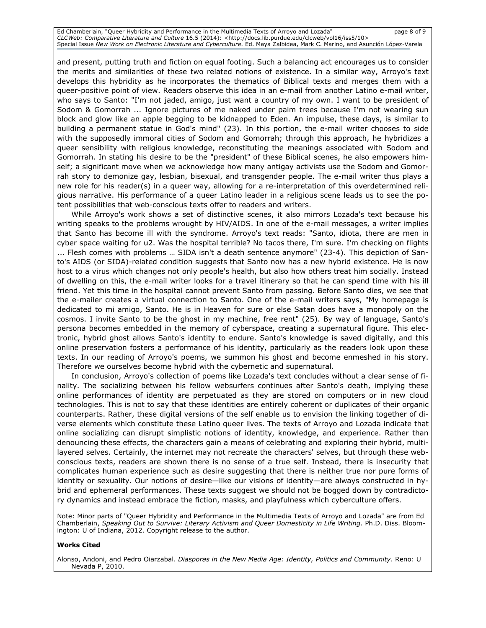Ed Chamberlain, "Queer Hybridity and Performance in the Multimedia Texts of Arroyo and Lozada" page 8 of 9 CLCWeb: Comparative Literature and Culture 16.5 (2014): <http://docs.lib.purdue.edu/clcweb/vol16/iss5/10> Special Issue New Work on Electronic Literature and Cyberculture. Ed. Maya Zalbidea, Mark C. Marino, and Asunción López-Varela

and present, putting truth and fiction on equal footing. Such a balancing act encourages us to consider the merits and similarities of these two related notions of existence. In a similar way, Arroyo's text develops this hybridity as he incorporates the thematics of Biblical texts and merges them with a queer-positive point of view. Readers observe this idea in an e-mail from another Latino e-mail writer, who says to Santo: "I'm not jaded, amigo, just want a country of my own. I want to be president of Sodom & Gomorrah ... Ignore pictures of me naked under palm trees because I'm not wearing sun block and glow like an apple begging to be kidnapped to Eden. An impulse, these days, is similar to building a permanent statue in God's mind" (23). In this portion, the e-mail writer chooses to side with the supposedly immoral cities of Sodom and Gomorrah; through this approach, he hybridizes a queer sensibility with religious knowledge, reconstituting the meanings associated with Sodom and Gomorrah. In stating his desire to be the "president" of these Biblical scenes, he also empowers himself; a significant move when we acknowledge how many antigay activists use the Sodom and Gomorrah story to demonize gay, lesbian, bisexual, and transgender people. The e-mail writer thus plays a new role for his reader(s) in a queer way, allowing for a re-interpretation of this overdetermined religious narrative. His performance of a queer Latino leader in a religious scene leads us to see the potent possibilities that web-conscious texts offer to readers and writers.

While Arroyo's work shows a set of distinctive scenes, it also mirrors Lozada's text because his writing speaks to the problems wrought by HIV/AIDS. In one of the e-mail messages, a writer implies that Santo has become ill with the syndrome. Arroyo's text reads: "Santo, idiota, there are men in cyber space waiting for u2. Was the hospital terrible? No tacos there, I'm sure. I'm checking on flights ... Flesh comes with problems … SIDA isn't a death sentence anymore" (23-4). This depiction of Santo's AIDS (or SIDA)-related condition suggests that Santo now has a new hybrid existence. He is now host to a virus which changes not only people's health, but also how others treat him socially. Instead of dwelling on this, the e-mail writer looks for a travel itinerary so that he can spend time with his ill friend. Yet this time in the hospital cannot prevent Santo from passing. Before Santo dies, we see that the e-mailer creates a virtual connection to Santo. One of the e-mail writers says, "My homepage is dedicated to mi amigo, Santo. He is in Heaven for sure or else Satan does have a monopoly on the cosmos. I invite Santo to be the ghost in my machine, free rent" (25). By way of language, Santo's persona becomes embedded in the memory of cyberspace, creating a supernatural figure. This electronic, hybrid ghost allows Santo's identity to endure. Santo's knowledge is saved digitally, and this online preservation fosters a performance of his identity, particularly as the readers look upon these texts. In our reading of Arroyo's poems, we summon his ghost and become enmeshed in his story. Therefore we ourselves become hybrid with the cybernetic and supernatural.

In conclusion, Arroyo's collection of poems like Lozada's text concludes without a clear sense of finality. The socializing between his fellow websurfers continues after Santo's death, implying these online performances of identity are perpetuated as they are stored on computers or in new cloud technologies. This is not to say that these identities are entirely coherent or duplicates of their organic counterparts. Rather, these digital versions of the self enable us to envision the linking together of diverse elements which constitute these Latino queer lives. The texts of Arroyo and Lozada indicate that online socializing can disrupt simplistic notions of identity, knowledge, and experience. Rather than denouncing these effects, the characters gain a means of celebrating and exploring their hybrid, multilayered selves. Certainly, the internet may not recreate the characters' selves, but through these webconscious texts, readers are shown there is no sense of a true self. Instead, there is insecurity that complicates human experience such as desire suggesting that there is neither true nor pure forms of identity or sexuality. Our notions of desire—like our visions of identity—are always constructed in hybrid and ephemeral performances. These texts suggest we should not be bogged down by contradictory dynamics and instead embrace the fiction, masks, and playfulness which cyberculture offers.

Note: Minor parts of "Queer Hybridity and Performance in the Multimedia Texts of Arroyo and Lozada" are from Ed Chamberlain, Speaking Out to Survive: Literary Activism and Queer Domesticity in Life Writing. Ph.D. Diss. Bloomington: U of Indiana, 2012. Copyright release to the author.

#### Works Cited

Alonso, Andoni, and Pedro Oiarzabal. Diasporas in the New Media Age: Identity, Politics and Community. Reno: U Nevada P, 2010.